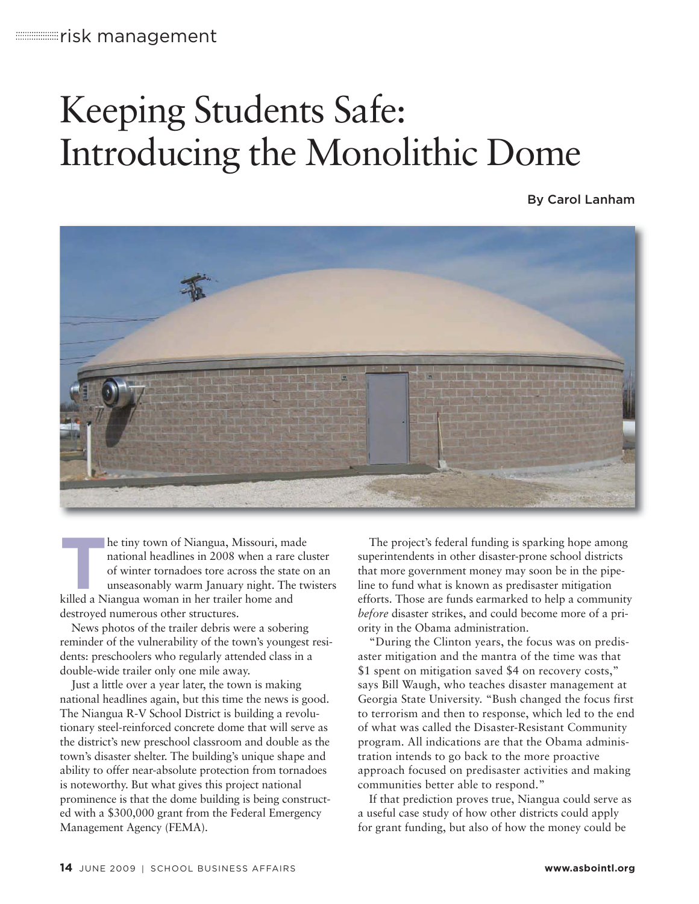# Keeping Students Safe: Introducing the Monolithic Dome

By Carol Lanham



**T**he tiny town of Niangua, Missouri, made national headlines in 2008 when a rare cluster of winter tornadoes tore across the state on an unseasonably warm January night. The twisters killed a Niangua woman in her trailer home and destroyed numerous other structures.

News photos of the trailer debris were a sobering reminder of the vulnerability of the town's youngest residents: preschoolers who regularly attended class in a double-wide trailer only one mile away.

Just a little over a year later, the town is making national headlines again, but this time the news is good. The Niangua R-V School District is building a revolutionary steel-reinforced concrete dome that will serve as the district's new preschool classroom and double as the town's disaster shelter. The building's unique shape and ability to offer near-absolute protection from tornadoes is noteworthy. But what gives this project national prominence is that the dome building is being constructed with a \$300,000 grant from the Federal Emergency Management Agency (FEMA).

The project's federal funding is sparking hope among superintendents in other disaster-prone school districts that more government money may soon be in the pipe line to fund what is known as predisaster mitigation efforts. Those are funds earmarked to help a community *before* disaster strikes, and could become more of a priority in the Obama administration.

"During the Clinton years, the focus was on predisaster mitigation and the mantra of the time was that \$1 spent on mitigation saved \$4 on recovery costs," says Bill Waugh, who teaches disaster management at Georgia State University. "Bush changed the focus first to terrorism and then to response, which led to the end of what was called the Disaster-Resistant Community program. All indications are that the Obama administration intends to go back to the more proactive approach focused on predisaster activities and making communities better able to respond."

If that prediction proves true, Niangua could serve as a useful case study of how other districts could apply for grant funding, but also of how the money could be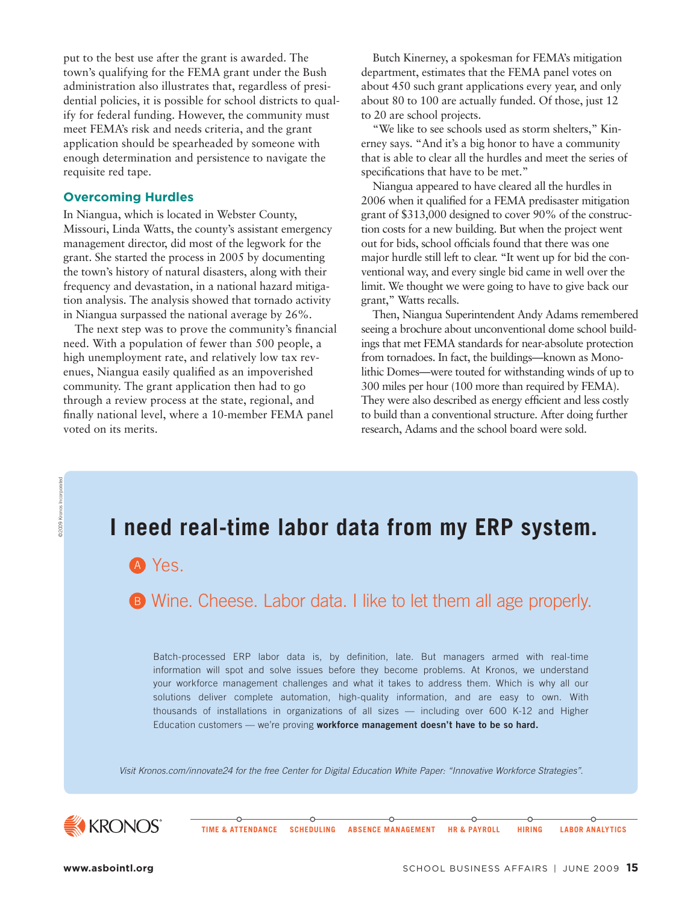put to the best use after the grant is awarded. The town's qualifying for the FEMA grant under the Bush administration also illustrates that, regardless of presidential policies, it is possible for school districts to qualify for federal funding. However, the community must meet FEMA's risk and needs criteria, and the grant application should be spearheaded by someone with enough determination and persistence to navigate the requisite red tape.

#### **Overcoming Hurdles**

In Niangua, which is located in Webster County, Missouri, Linda Watts, the county's assistant emergency management director, did most of the legwork for the grant. She started the process in 2005 by documenting the town's history of natural disasters, along with their frequency and devastation, in a national hazard mitigation analysis. The analysis showed that tornado activity in Niangua surpassed the national average by 26%.

The next step was to prove the community's financial need. With a population of fewer than 500 people, a high unemployment rate, and relatively low tax revenues, Niangua easily qualified as an impoverished community. The grant application then had to go through a review process at the state, regional, and finally national level, where a 10-member FEMA panel voted on its merits.

Butch Kinerney, a spokesman for FEMA's mitigation department, estimates that the FEMA panel votes on about 450 such grant applications every year, and only about 80 to 100 are actually funded. Of those, just 12 to 20 are school projects.

"We like to see schools used as storm shelters," Kinerney says. "And it's a big honor to have a community that is able to clear all the hurdles and meet the series of specifications that have to be met."

Niangua appeared to have cleared all the hurdles in 2006 when it qualified for a FEMA predisaster mitigation grant of \$313,000 designed to cover 90% of the construction costs for a new building. But when the project went out for bids, school officials found that there was one major hurdle still left to clear. "It went up for bid the conventional way, and every single bid came in well over the limit. We thought we were going to have to give back our grant," Watts recalls.

Then, Niangua Superintendent Andy Adams remembered seeing a brochure about unconventional dome school buildings that met FEMA standards for near-absolute protection from tornadoes. In fact, the buildings—known as Monolithic Domes—were touted for withstanding winds of up to 300 miles per hour (100 more than required by FEMA). They were also described as energy efficient and less costly to build than a conventional structure. After doing further research, Adams and the school board were sold.

# Yes. A **I need real-time labor data from my ERP system.**

**B** Wine. Cheese. Labor data. I like to let them all age properly.

Batch-processed ERP labor data is, by definition, late. But managers armed with real-time information will spot and solve issues before they become problems. At Kronos, we understand your workforce management challenges and what it takes to address them. Which is why all our solutions deliver complete automation, high-quality information, and are easy to own. With thousands of installations in organizations of all sizes — including over 600 K-12 and Higher Education customers — we're proving **workforce management doesn't have to be so hard.**

Visit Kronos.com/innovate24 for the free Center for Digital Education White Paper: "Innovative Workforce Strategies".

Ó

 $\circ$ 



©2009 Kronos Incorporated

 $0008$ 

cronos Incorporated

**TIME & ATTENDANCE SCHEDULING ABSENCE MANAGEMENT HR & PAYROLL HIRING LABOR ANALYTICS**

 $\circ$